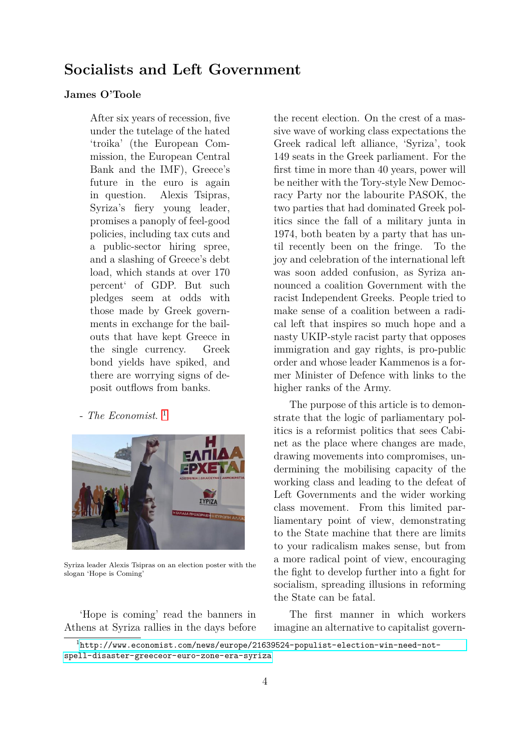# **Socialists and Left Government**

#### **James O'Toole**

After six years of recession, five under the tutelage of the hated 'troika' (the European Commission, the European Central Bank and the IMF), Greece's future in the euro is again in question. Alexis Tsipras, Syriza's fiery young leader, promises a panoply of feel-good policies, including tax cuts and a public-sector hiring spree, and a slashing of Greece's debt load, which stands at over 170 percent' of GDP. But such pledges seem at odds with those made by Greek governments in exchange for the bailouts that have kept Greece in the single currency. Greek bond yields have spiked, and there are worrying signs of deposit outflows from banks.

- *The Economist*. [1](#page-0-0)



Syriza leader Alexis Tsipras on an election poster with the slogan 'Hope is Coming'

'Hope is coming' read the banners in Athens at Syriza rallies in the days before

the recent election. On the crest of a massive wave of working class expectations the Greek radical left alliance, 'Syriza', took 149 seats in the Greek parliament. For the first time in more than 40 years, power will be neither with the Tory-style New Democracy Party nor the labourite PASOK, the two parties that had dominated Greek politics since the fall of a military junta in 1974, both beaten by a party that has until recently been on the fringe. To the joy and celebration of the international left was soon added confusion, as Syriza announced a coalition Government with the racist Independent Greeks. People tried to make sense of a coalition between a radical left that inspires so much hope and a nasty UKIP-style racist party that opposes immigration and gay rights, is pro-public order and whose leader Kammenos is a former Minister of Defence with links to the higher ranks of the Army.

The purpose of this article is to demonstrate that the logic of parliamentary politics is a reformist politics that sees Cabinet as the place where changes are made, drawing movements into compromises, undermining the mobilising capacity of the working class and leading to the defeat of Left Governments and the wider working class movement. From this limited parliamentary point of view, demonstrating to the State machine that there are limits to your radicalism makes sense, but from a more radical point of view, encouraging the fight to develop further into a fight for socialism, spreading illusions in reforming the State can be fatal.

The first manner in which workers imagine an alternative to capitalist govern-

<span id="page-0-0"></span> $1$ [http://www.economist.com/news/europe/21639524-populist-election-win-need-not](http://www.economist.com/news/europe/21639524-populist-election-win-need-not-spell-disaster-greeceor-euro-zone-era-syriza)[spell-disaster-greeceor-euro-zone-era-syriza](http://www.economist.com/news/europe/21639524-populist-election-win-need-not-spell-disaster-greeceor-euro-zone-era-syriza)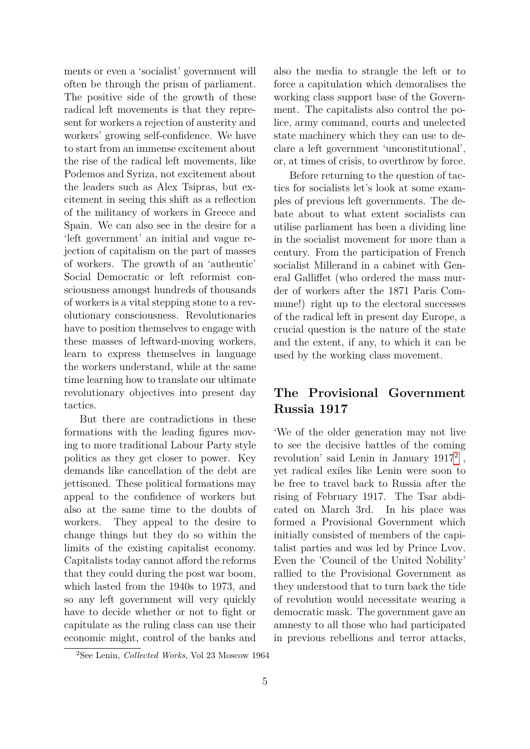ments or even a 'socialist' government will often be through the prism of parliament. The positive side of the growth of these radical left movements is that they represent for workers a rejection of austerity and workers' growing self-confidence. We have to start from an immense excitement about the rise of the radical left movements, like Podemos and Syriza, not excitement about the leaders such as Alex Tsipras, but excitement in seeing this shift as a reflection of the militancy of workers in Greece and Spain. We can also see in the desire for a 'left government' an initial and vague rejection of capitalism on the part of masses of workers. The growth of an 'authentic' Social Democratic or left reformist consciousness amongst hundreds of thousands of workers is a vital stepping stone to a revolutionary consciousness. Revolutionaries have to position themselves to engage with these masses of leftward-moving workers, learn to express themselves in language the workers understand, while at the same time learning how to translate our ultimate revolutionary objectives into present day tactics.

But there are contradictions in these formations with the leading figures moving to more traditional Labour Party style politics as they get closer to power. Key demands like cancellation of the debt are jettisoned. These political formations may appeal to the confidence of workers but also at the same time to the doubts of workers. They appeal to the desire to change things but they do so within the limits of the existing capitalist economy. Capitalists today cannot afford the reforms that they could during the post war boom, which lasted from the 1940s to 1973, and so any left government will very quickly have to decide whether or not to fight or capitulate as the ruling class can use their economic might, control of the banks and

also the media to strangle the left or to force a capitulation which demoralises the working class support base of the Government. The capitalists also control the police, army command, courts and unelected state machinery which they can use to declare a left government 'unconstitutional', or, at times of crisis, to overthrow by force.

Before returning to the question of tactics for socialists let's look at some examples of previous left governments. The debate about to what extent socialists can utilise parliament has been a dividing line in the socialist movement for more than a century. From the participation of French socialist Millerand in a cabinet with General Galliffet (who ordered the mass murder of workers after the 1871 Paris Commune!) right up to the electoral successes of the radical left in present day Europe, a crucial question is the nature of the state and the extent, if any, to which it can be used by the working class movement.

### **The Provisional Government Russia 1917**

'We of the older generation may not live to see the decisive battles of the coming revolution' said Lenin in January 1917<sup>[2](#page-1-0)</sup>, yet radical exiles like Lenin were soon to be free to travel back to Russia after the rising of February 1917. The Tsar abdicated on March 3rd. In his place was formed a Provisional Government which initially consisted of members of the capitalist parties and was led by Prince Lvov. Even the 'Council of the United Nobility' rallied to the Provisional Government as they understood that to turn back the tide of revolution would necessitate wearing a democratic mask. The government gave an amnesty to all those who had participated in previous rebellions and terror attacks,

<span id="page-1-0"></span><sup>2</sup>See Lenin, *Collected Works*, Vol 23 Moscow 1964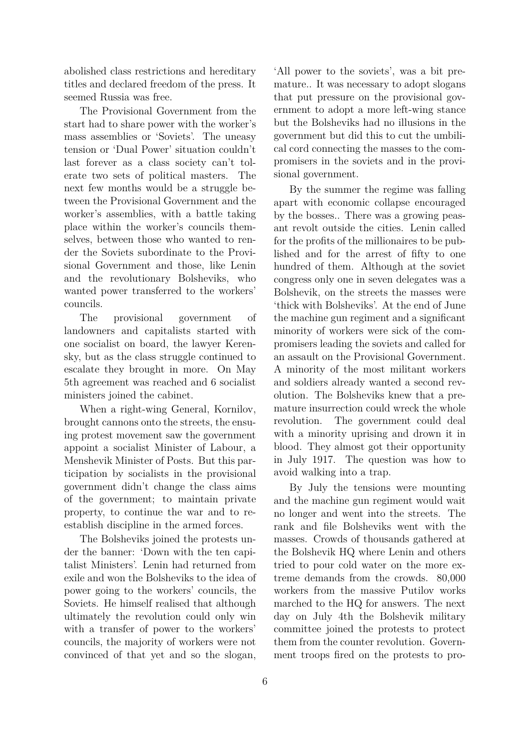abolished class restrictions and hereditary titles and declared freedom of the press. It seemed Russia was free.

The Provisional Government from the start had to share power with the worker's mass assemblies or 'Soviets'. The uneasy tension or 'Dual Power' situation couldn't last forever as a class society can't tolerate two sets of political masters. The next few months would be a struggle between the Provisional Government and the worker's assemblies, with a battle taking place within the worker's councils themselves, between those who wanted to render the Soviets subordinate to the Provisional Government and those, like Lenin and the revolutionary Bolsheviks, who wanted power transferred to the workers' councils.

The provisional government of landowners and capitalists started with one socialist on board, the lawyer Kerensky, but as the class struggle continued to escalate they brought in more. On May 5th agreement was reached and 6 socialist ministers joined the cabinet.

When a right-wing General, Kornilov, brought cannons onto the streets, the ensuing protest movement saw the government appoint a socialist Minister of Labour, a Menshevik Minister of Posts. But this participation by socialists in the provisional government didn't change the class aims of the government; to maintain private property, to continue the war and to reestablish discipline in the armed forces.

The Bolsheviks joined the protests under the banner: 'Down with the ten capitalist Ministers'. Lenin had returned from exile and won the Bolsheviks to the idea of power going to the workers' councils, the Soviets. He himself realised that although ultimately the revolution could only win with a transfer of power to the workers' councils, the majority of workers were not convinced of that yet and so the slogan,

'All power to the soviets', was a bit premature.. It was necessary to adopt slogans that put pressure on the provisional government to adopt a more left-wing stance but the Bolsheviks had no illusions in the government but did this to cut the umbilical cord connecting the masses to the compromisers in the soviets and in the provisional government.

By the summer the regime was falling apart with economic collapse encouraged by the bosses.. There was a growing peasant revolt outside the cities. Lenin called for the profits of the millionaires to be published and for the arrest of fifty to one hundred of them. Although at the soviet congress only one in seven delegates was a Bolshevik, on the streets the masses were 'thick with Bolsheviks'. At the end of June the machine gun regiment and a significant minority of workers were sick of the compromisers leading the soviets and called for an assault on the Provisional Government. A minority of the most militant workers and soldiers already wanted a second revolution. The Bolsheviks knew that a premature insurrection could wreck the whole revolution. The government could deal with a minority uprising and drown it in blood. They almost got their opportunity in July 1917. The question was how to avoid walking into a trap.

By July the tensions were mounting and the machine gun regiment would wait no longer and went into the streets. The rank and file Bolsheviks went with the masses. Crowds of thousands gathered at the Bolshevik HQ where Lenin and others tried to pour cold water on the more extreme demands from the crowds. 80,000 workers from the massive Putilov works marched to the HQ for answers. The next day on July 4th the Bolshevik military committee joined the protests to protect them from the counter revolution. Government troops fired on the protests to pro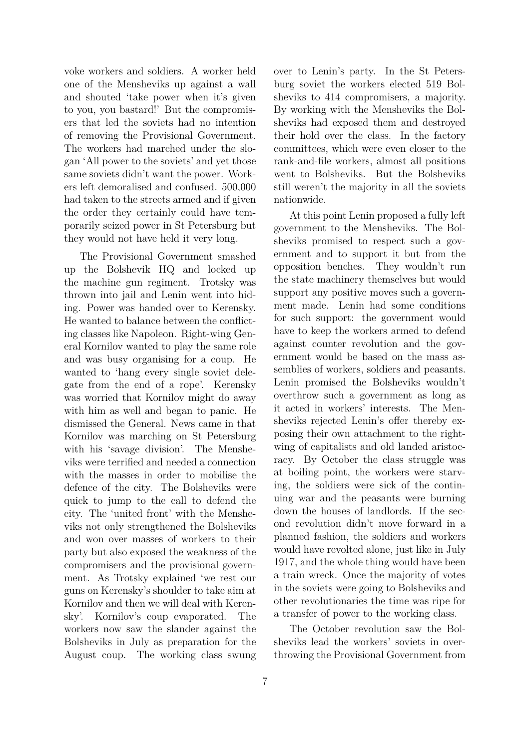voke workers and soldiers. A worker held one of the Mensheviks up against a wall and shouted 'take power when it's given to you, you bastard!' But the compromisers that led the soviets had no intention of removing the Provisional Government. The workers had marched under the slogan 'All power to the soviets' and yet those same soviets didn't want the power. Workers left demoralised and confused. 500,000 had taken to the streets armed and if given the order they certainly could have temporarily seized power in St Petersburg but they would not have held it very long.

The Provisional Government smashed up the Bolshevik HQ and locked up the machine gun regiment. Trotsky was thrown into jail and Lenin went into hiding. Power was handed over to Kerensky. He wanted to balance between the conflicting classes like Napoleon. Right-wing General Kornilov wanted to play the same role and was busy organising for a coup. He wanted to 'hang every single soviet delegate from the end of a rope'. Kerensky was worried that Kornilov might do away with him as well and began to panic. He dismissed the General. News came in that Kornilov was marching on St Petersburg with his 'savage division'. The Mensheviks were terrified and needed a connection with the masses in order to mobilise the defence of the city. The Bolsheviks were quick to jump to the call to defend the city. The 'united front' with the Mensheviks not only strengthened the Bolsheviks and won over masses of workers to their party but also exposed the weakness of the compromisers and the provisional government. As Trotsky explained 'we rest our guns on Kerensky's shoulder to take aim at Kornilov and then we will deal with Kerensky'. Kornilov's coup evaporated. The workers now saw the slander against the Bolsheviks in July as preparation for the August coup. The working class swung over to Lenin's party. In the St Petersburg soviet the workers elected 519 Bolsheviks to 414 compromisers, a majority. By working with the Mensheviks the Bolsheviks had exposed them and destroyed their hold over the class. In the factory committees, which were even closer to the rank-and-file workers, almost all positions went to Bolsheviks. But the Bolsheviks still weren't the majority in all the soviets nationwide.

At this point Lenin proposed a fully left government to the Mensheviks. The Bolsheviks promised to respect such a government and to support it but from the opposition benches. They wouldn't run the state machinery themselves but would support any positive moves such a government made. Lenin had some conditions for such support: the government would have to keep the workers armed to defend against counter revolution and the government would be based on the mass assemblies of workers, soldiers and peasants. Lenin promised the Bolsheviks wouldn't overthrow such a government as long as it acted in workers' interests. The Mensheviks rejected Lenin's offer thereby exposing their own attachment to the rightwing of capitalists and old landed aristocracy. By October the class struggle was at boiling point, the workers were starving, the soldiers were sick of the continuing war and the peasants were burning down the houses of landlords. If the second revolution didn't move forward in a planned fashion, the soldiers and workers would have revolted alone, just like in July 1917, and the whole thing would have been a train wreck. Once the majority of votes in the soviets were going to Bolsheviks and other revolutionaries the time was ripe for a transfer of power to the working class.

The October revolution saw the Bolsheviks lead the workers' soviets in overthrowing the Provisional Government from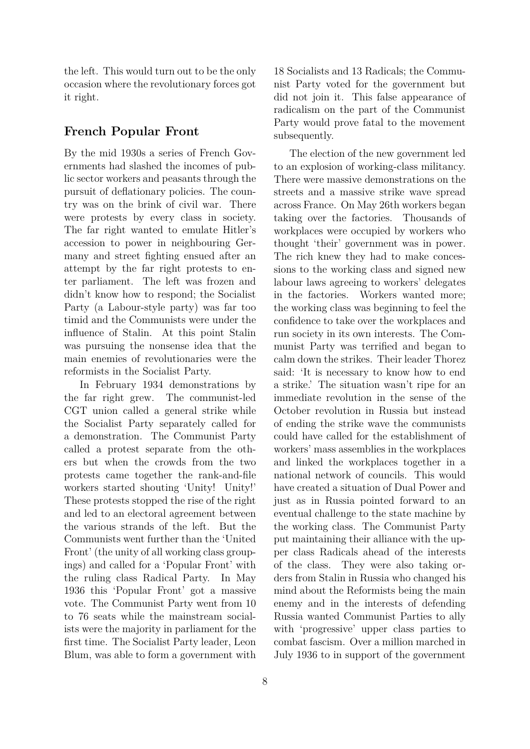the left. This would turn out to be the only occasion where the revolutionary forces got it right.

### **French Popular Front**

By the mid 1930s a series of French Governments had slashed the incomes of public sector workers and peasants through the pursuit of deflationary policies. The country was on the brink of civil war. There were protests by every class in society. The far right wanted to emulate Hitler's accession to power in neighbouring Germany and street fighting ensued after an attempt by the far right protests to enter parliament. The left was frozen and didn't know how to respond; the Socialist Party (a Labour-style party) was far too timid and the Communists were under the influence of Stalin. At this point Stalin was pursuing the nonsense idea that the main enemies of revolutionaries were the reformists in the Socialist Party.

In February 1934 demonstrations by the far right grew. The communist-led CGT union called a general strike while the Socialist Party separately called for a demonstration. The Communist Party called a protest separate from the others but when the crowds from the two protests came together the rank-and-file workers started shouting 'Unity! Unity!' These protests stopped the rise of the right and led to an electoral agreement between the various strands of the left. But the Communists went further than the 'United Front' (the unity of all working class groupings) and called for a 'Popular Front' with the ruling class Radical Party. In May 1936 this 'Popular Front' got a massive vote. The Communist Party went from 10 to 76 seats while the mainstream socialists were the majority in parliament for the first time. The Socialist Party leader, Leon Blum, was able to form a government with

18 Socialists and 13 Radicals; the Communist Party voted for the government but did not join it. This false appearance of radicalism on the part of the Communist Party would prove fatal to the movement subsequently.

The election of the new government led to an explosion of working-class militancy. There were massive demonstrations on the streets and a massive strike wave spread across France. On May 26th workers began taking over the factories. Thousands of workplaces were occupied by workers who thought 'their' government was in power. The rich knew they had to make concessions to the working class and signed new labour laws agreeing to workers' delegates in the factories. Workers wanted more; the working class was beginning to feel the confidence to take over the workplaces and run society in its own interests. The Communist Party was terrified and began to calm down the strikes. Their leader Thorez said: 'It is necessary to know how to end a strike.' The situation wasn't ripe for an immediate revolution in the sense of the October revolution in Russia but instead of ending the strike wave the communists could have called for the establishment of workers' mass assemblies in the workplaces and linked the workplaces together in a national network of councils. This would have created a situation of Dual Power and just as in Russia pointed forward to an eventual challenge to the state machine by the working class. The Communist Party put maintaining their alliance with the upper class Radicals ahead of the interests of the class. They were also taking orders from Stalin in Russia who changed his mind about the Reformists being the main enemy and in the interests of defending Russia wanted Communist Parties to ally with 'progressive' upper class parties to combat fascism. Over a million marched in July 1936 to in support of the government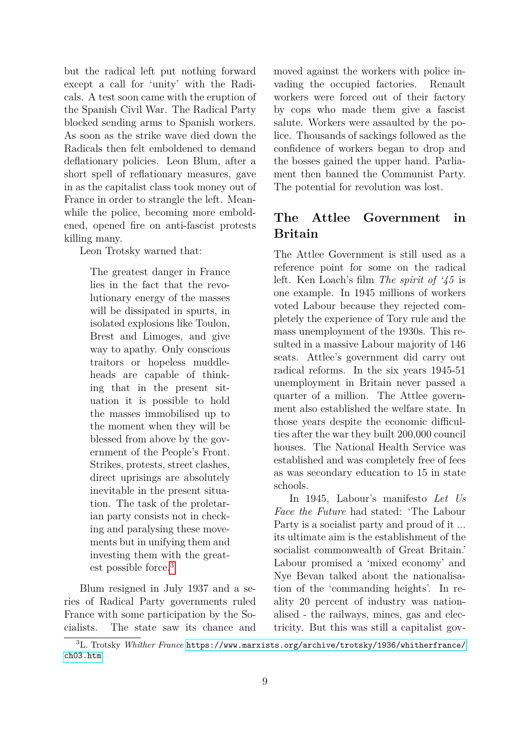but the radical left put nothing forward except a call for 'unity' with the Radicals. A test soon came with the eruption of the Spanish Civil War. The Radical Party blocked sending arms to Spanish workers. As soon as the strike wave died down the Radicals then felt emboldened to demand deflationary policies. Leon Blum, after a short spell of reflationary measures, gave in as the capitalist class took money out of France in order to strangle the left. Meanwhile the police, becoming more emboldened, opened fire on anti-fascist protests killing many.

Leon Trotsky warned that:

The greatest danger in France lies in the fact that the revolutionary energy of the masses will be dissipated in spurts, in isolated explosions like Toulon, Brest and Limoges, and give way to apathy. Only conscious traitors or hopeless muddleheads are capable of thinking that in the present situation it is possible to hold the masses immobilised up to the moment when they will be blessed from above by the government of the People's Front. Strikes, protests, street clashes, direct uprisings are absolutely inevitable in the present situation. The task of the proletarian party consists not in checking and paralysing these movements but in unifying them and investing them with the greatest possible force.[3](#page-5-0)

Blum resigned in July 1937 and a series of Radical Party governments ruled France with some participation by the Socialists. The state saw its chance and moved against the workers with police invading the occupied factories. Renault workers were forced out of their factory by cops who made them give a fascist salute. Workers were assaulted by the police. Thousands of sackings followed as the confidence of workers began to drop and the bosses gained the upper hand. Parliament then banned the Communist Party. The potential for revolution was lost.

### **The Attlee Government in Britain**

The Attlee Government is still used as a reference point for some on the radical left. Ken Loach's film *The spirit of '45* is one example. In 1945 millions of workers voted Labour because they rejected completely the experience of Tory rule and the mass unemployment of the 1930s. This resulted in a massive Labour majority of 146 seats. Attlee's government did carry out radical reforms. In the six years 1945-51 unemployment in Britain never passed a quarter of a million. The Attlee government also established the welfare state. In those years despite the economic difficulties after the war they built 200,000 council houses. The National Health Service was established and was completely free of fees as was secondary education to 15 in state schools.

In 1945, Labour's manifesto *Let Us Face the Future* had stated: 'The Labour Party is a socialist party and proud of it ... its ultimate aim is the establishment of the socialist commonwealth of Great Britain.' Labour promised a 'mixed economy' and Nye Bevan talked about the nationalisation of the 'commanding heights'. In reality 20 percent of industry was nationalised - the railways, mines, gas and electricity. But this was still a capitalist gov-

<span id="page-5-0"></span><sup>3</sup>L. Trotsky *Whither France* [https://www.marxists.org/archive/trotsky/1936/whitherfrance/](https://www.marxists.org/archive/trotsky/1936/whitherfrance/ch03.htm) [ch03.htm](https://www.marxists.org/archive/trotsky/1936/whitherfrance/ch03.htm)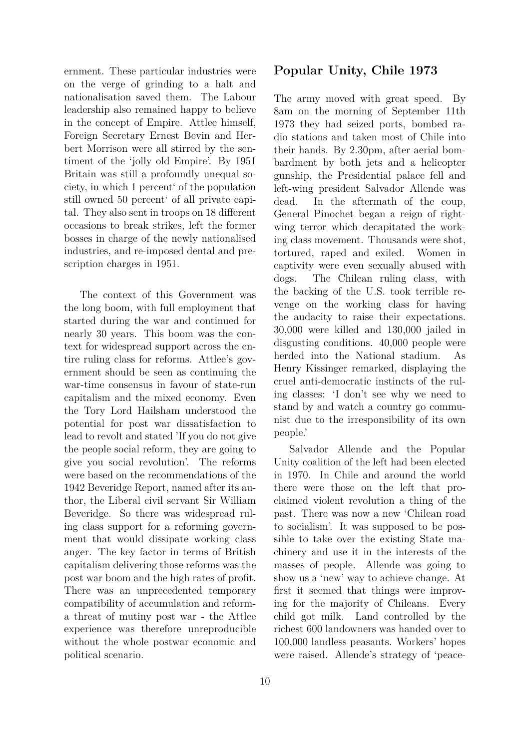ernment. These particular industries were on the verge of grinding to a halt and nationalisation saved them. The Labour leadership also remained happy to believe in the concept of Empire. Attlee himself, Foreign Secretary Ernest Bevin and Herbert Morrison were all stirred by the sentiment of the 'jolly old Empire'. By 1951 Britain was still a profoundly unequal society, in which 1 percent' of the population still owned 50 percent' of all private capital. They also sent in troops on 18 different occasions to break strikes, left the former bosses in charge of the newly nationalised industries, and re-imposed dental and prescription charges in 1951.

The context of this Government was the long boom, with full employment that started during the war and continued for nearly 30 years. This boom was the context for widespread support across the entire ruling class for reforms. Attlee's government should be seen as continuing the war-time consensus in favour of state-run capitalism and the mixed economy. Even the Tory Lord Hailsham understood the potential for post war dissatisfaction to lead to revolt and stated 'If you do not give the people social reform, they are going to give you social revolution'. The reforms were based on the recommendations of the 1942 Beveridge Report, named after its author, the Liberal civil servant Sir William Beveridge. So there was widespread ruling class support for a reforming government that would dissipate working class anger. The key factor in terms of British capitalism delivering those reforms was the post war boom and the high rates of profit. There was an unprecedented temporary compatibility of accumulation and reforma threat of mutiny post war - the Attlee experience was therefore unreproducible without the whole postwar economic and political scenario.

#### **Popular Unity, Chile 1973**

The army moved with great speed. By 8am on the morning of September 11th 1973 they had seized ports, bombed radio stations and taken most of Chile into their hands. By 2.30pm, after aerial bombardment by both jets and a helicopter gunship, the Presidential palace fell and left-wing president Salvador Allende was dead. In the aftermath of the coup, General Pinochet began a reign of rightwing terror which decapitated the working class movement. Thousands were shot, tortured, raped and exiled. Women in captivity were even sexually abused with dogs. The Chilean ruling class, with the backing of the U.S. took terrible revenge on the working class for having the audacity to raise their expectations. 30,000 were killed and 130,000 jailed in disgusting conditions. 40,000 people were herded into the National stadium. As Henry Kissinger remarked, displaying the cruel anti-democratic instincts of the ruling classes: 'I don't see why we need to stand by and watch a country go communist due to the irresponsibility of its own people.'

Salvador Allende and the Popular Unity coalition of the left had been elected in 1970. In Chile and around the world there were those on the left that proclaimed violent revolution a thing of the past. There was now a new 'Chilean road to socialism'. It was supposed to be possible to take over the existing State machinery and use it in the interests of the masses of people. Allende was going to show us a 'new' way to achieve change. At first it seemed that things were improving for the majority of Chileans. Every child got milk. Land controlled by the richest 600 landowners was handed over to 100,000 landless peasants. Workers' hopes were raised. Allende's strategy of 'peace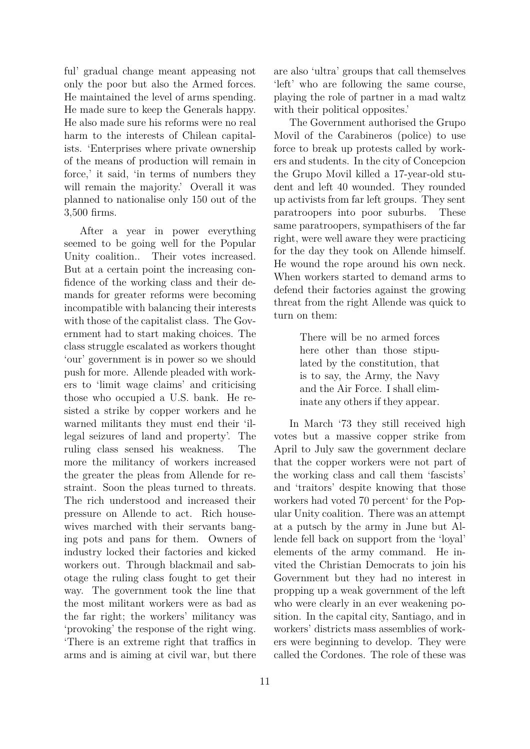ful' gradual change meant appeasing not only the poor but also the Armed forces. He maintained the level of arms spending. He made sure to keep the Generals happy. He also made sure his reforms were no real harm to the interests of Chilean capitalists. 'Enterprises where private ownership of the means of production will remain in force,' it said, 'in terms of numbers they will remain the majority.' Overall it was planned to nationalise only 150 out of the 3,500 firms.

After a year in power everything seemed to be going well for the Popular Unity coalition.. Their votes increased. But at a certain point the increasing confidence of the working class and their demands for greater reforms were becoming incompatible with balancing their interests with those of the capitalist class. The Government had to start making choices. The class struggle escalated as workers thought 'our' government is in power so we should push for more. Allende pleaded with workers to 'limit wage claims' and criticising those who occupied a U.S. bank. He resisted a strike by copper workers and he warned militants they must end their 'illegal seizures of land and property'. The ruling class sensed his weakness. The more the militancy of workers increased the greater the pleas from Allende for restraint. Soon the pleas turned to threats. The rich understood and increased their pressure on Allende to act. Rich housewives marched with their servants banging pots and pans for them. Owners of industry locked their factories and kicked workers out. Through blackmail and sabotage the ruling class fought to get their way. The government took the line that the most militant workers were as bad as the far right; the workers' militancy was 'provoking' the response of the right wing. 'There is an extreme right that traffics in arms and is aiming at civil war, but there are also 'ultra' groups that call themselves 'left' who are following the same course, playing the role of partner in a mad waltz with their political opposites.'

The Government authorised the Grupo Movil of the Carabineros (police) to use force to break up protests called by workers and students. In the city of Concepcion the Grupo Movil killed a 17-year-old student and left 40 wounded. They rounded up activists from far left groups. They sent paratroopers into poor suburbs. These same paratroopers, sympathisers of the far right, were well aware they were practicing for the day they took on Allende himself. He wound the rope around his own neck. When workers started to demand arms to defend their factories against the growing threat from the right Allende was quick to turn on them:

> There will be no armed forces here other than those stipulated by the constitution, that is to say, the Army, the Navy and the Air Force. I shall eliminate any others if they appear.

In March '73 they still received high votes but a massive copper strike from April to July saw the government declare that the copper workers were not part of the working class and call them 'fascists' and 'traitors' despite knowing that those workers had voted 70 percent' for the Popular Unity coalition. There was an attempt at a putsch by the army in June but Allende fell back on support from the 'loyal' elements of the army command. He invited the Christian Democrats to join his Government but they had no interest in propping up a weak government of the left who were clearly in an ever weakening position. In the capital city, Santiago, and in workers' districts mass assemblies of workers were beginning to develop. They were called the Cordones. The role of these was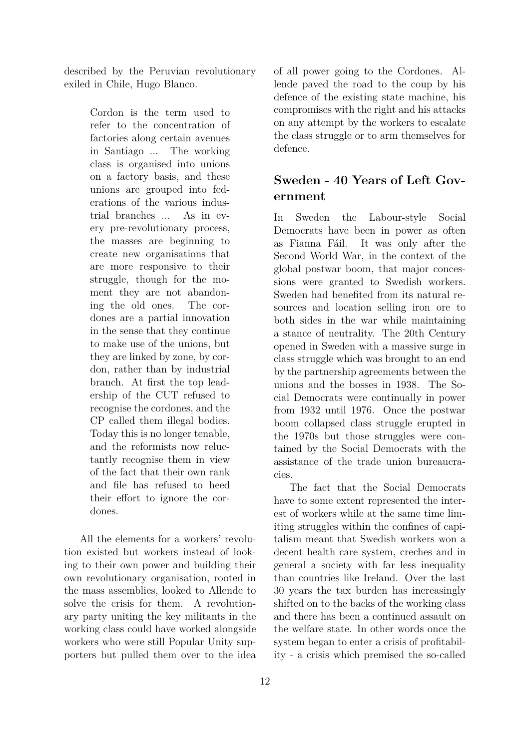described by the Peruvian revolutionary exiled in Chile, Hugo Blanco.

> Cordon is the term used to refer to the concentration of factories along certain avenues in Santiago ... The working class is organised into unions on a factory basis, and these unions are grouped into federations of the various industrial branches ... As in every pre-revolutionary process, the masses are beginning to create new organisations that are more responsive to their struggle, though for the moment they are not abandoning the old ones. The cordones are a partial innovation in the sense that they continue to make use of the unions, but they are linked by zone, by cordon, rather than by industrial branch. At first the top leadership of the CUT refused to recognise the cordones, and the CP called them illegal bodies. Today this is no longer tenable, and the reformists now reluctantly recognise them in view of the fact that their own rank and file has refused to heed their effort to ignore the cordones.

All the elements for a workers' revolution existed but workers instead of looking to their own power and building their own revolutionary organisation, rooted in the mass assemblies, looked to Allende to solve the crisis for them. A revolutionary party uniting the key militants in the working class could have worked alongside workers who were still Popular Unity supporters but pulled them over to the idea

of all power going to the Cordones. Allende paved the road to the coup by his defence of the existing state machine, his compromises with the right and his attacks on any attempt by the workers to escalate the class struggle or to arm themselves for defence.

# **Sweden - 40 Years of Left Government**

In Sweden the Labour-style Social Democrats have been in power as often as Fianna Fáil. It was only after the Second World War, in the context of the global postwar boom, that major concessions were granted to Swedish workers. Sweden had benefited from its natural resources and location selling iron ore to both sides in the war while maintaining a stance of neutrality. The 20th Century opened in Sweden with a massive surge in class struggle which was brought to an end by the partnership agreements between the unions and the bosses in 1938. The Social Democrats were continually in power from 1932 until 1976. Once the postwar boom collapsed class struggle erupted in the 1970s but those struggles were contained by the Social Democrats with the assistance of the trade union bureaucracies.

The fact that the Social Democrats have to some extent represented the interest of workers while at the same time limiting struggles within the confines of capitalism meant that Swedish workers won a decent health care system, creches and in general a society with far less inequality than countries like Ireland. Over the last 30 years the tax burden has increasingly shifted on to the backs of the working class and there has been a continued assault on the welfare state. In other words once the system began to enter a crisis of profitability - a crisis which premised the so-called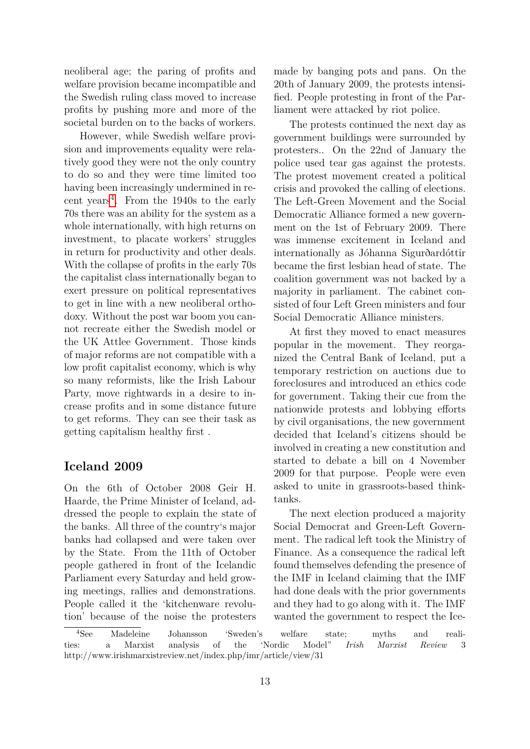neoliberal age; the paring of profits and welfare provision became incompatible and the Swedish ruling class moved to increase profits by pushing more and more of the societal burden on to the backs of workers.

However, while Swedish welfare provision and improvements equality were relatively good they were not the only country to do so and they were time limited too having been increasingly undermined in recent years[4](#page-9-0) . From the 1940s to the early 70s there was an ability for the system as a whole internationally, with high returns on investment, to placate workers' struggles in return for productivity and other deals. With the collapse of profits in the early 70s the capitalist class internationally began to exert pressure on political representatives to get in line with a new neoliberal orthodoxy. Without the post war boom you cannot recreate either the Swedish model or the UK Attlee Government. Those kinds of major reforms are not compatible with a low profit capitalist economy, which is why so many reformists, like the Irish Labour Party, move rightwards in a desire to increase profits and in some distance future to get reforms. They can see their task as getting capitalism healthy first .

#### **Iceland 2009**

On the 6th of October 2008 Geir H. Haarde, the Prime Minister of Iceland, addressed the people to explain the state of the banks. All three of the country's major banks had collapsed and were taken over by the State. From the 11th of October people gathered in front of the Icelandic Parliament every Saturday and held growing meetings, rallies and demonstrations. People called it the 'kitchenware revolution' because of the noise the protesters

made by banging pots and pans. On the 20th of January 2009, the protests intensified. People protesting in front of the Parliament were attacked by riot police.

The protests continued the next day as government buildings were surrounded by protesters.. On the 22nd of January the police used tear gas against the protests. The protest movement created a political crisis and provoked the calling of elections. The Left-Green Movement and the Social Democratic Alliance formed a new government on the 1st of February 2009. There was immense excitement in Iceland and internationally as Jóhanna Sigurðardóttir became the first lesbian head of state. The coalition government was not backed by a majority in parliament. The cabinet consisted of four Left Green ministers and four Social Democratic Alliance ministers.

At first they moved to enact measures popular in the movement. They reorganized the Central Bank of Iceland, put a temporary restriction on auctions due to foreclosures and introduced an ethics code for government. Taking their cue from the nationwide protests and lobbying efforts by civil organisations, the new government decided that Iceland's citizens should be involved in creating a new constitution and started to debate a bill on 4 November 2009 for that purpose. People were even asked to unite in grassroots-based thinktanks.

The next election produced a majority Social Democrat and Green-Left Government. The radical left took the Ministry of Finance. As a consequence the radical left found themselves defending the presence of the IMF in Iceland claiming that the IMF had done deals with the prior governments and they had to go along with it. The IMF wanted the government to respect the Ice-

<span id="page-9-0"></span><sup>4</sup>See Madeleine Johansson 'Sweden's welfare state; myths and realities: a Marxist analysis of the 'Nordic Model" *Irish Marxist Review* 3 http://www.irishmarxistreview.net/index.php/imr/article/view/31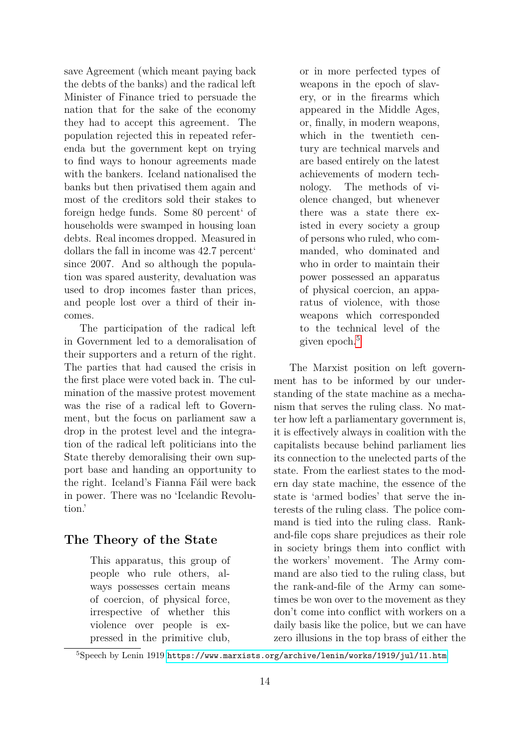save Agreement (which meant paying back the debts of the banks) and the radical left Minister of Finance tried to persuade the nation that for the sake of the economy they had to accept this agreement. The population rejected this in repeated referenda but the government kept on trying to find ways to honour agreements made with the bankers. Iceland nationalised the banks but then privatised them again and most of the creditors sold their stakes to foreign hedge funds. Some 80 percent' of households were swamped in housing loan debts. Real incomes dropped. Measured in dollars the fall in income was 42.7 percent' since 2007. And so although the population was spared austerity, devaluation was used to drop incomes faster than prices, and people lost over a third of their incomes.

The participation of the radical left in Government led to a demoralisation of their supporters and a return of the right. The parties that had caused the crisis in the first place were voted back in. The culmination of the massive protest movement was the rise of a radical left to Government, but the focus on parliament saw a drop in the protest level and the integration of the radical left politicians into the State thereby demoralising their own support base and handing an opportunity to the right. Iceland's Fianna Fáil were back in power. There was no 'Icelandic Revolution.'

### **The Theory of the State**

This apparatus, this group of people who rule others, always possesses certain means of coercion, of physical force, irrespective of whether this violence over people is expressed in the primitive club,

or in more perfected types of weapons in the epoch of slavery, or in the firearms which appeared in the Middle Ages, or, finally, in modern weapons, which in the twentieth century are technical marvels and are based entirely on the latest achievements of modern technology. The methods of violence changed, but whenever there was a state there existed in every society a group of persons who ruled, who commanded, who dominated and who in order to maintain their power possessed an apparatus of physical coercion, an apparatus of violence, with those weapons which corresponded to the technical level of the given epoch.[5](#page-10-0)

The Marxist position on left government has to be informed by our understanding of the state machine as a mechanism that serves the ruling class. No matter how left a parliamentary government is, it is effectively always in coalition with the capitalists because behind parliament lies its connection to the unelected parts of the state. From the earliest states to the modern day state machine, the essence of the state is 'armed bodies' that serve the interests of the ruling class. The police command is tied into the ruling class. Rankand-file cops share prejudices as their role in society brings them into conflict with the workers' movement. The Army command are also tied to the ruling class, but the rank-and-file of the Army can sometimes be won over to the movement as they don't come into conflict with workers on a daily basis like the police, but we can have zero illusions in the top brass of either the

<span id="page-10-0"></span><sup>5</sup>Speech by Lenin 1919 <https://www.marxists.org/archive/lenin/works/1919/jul/11.htm>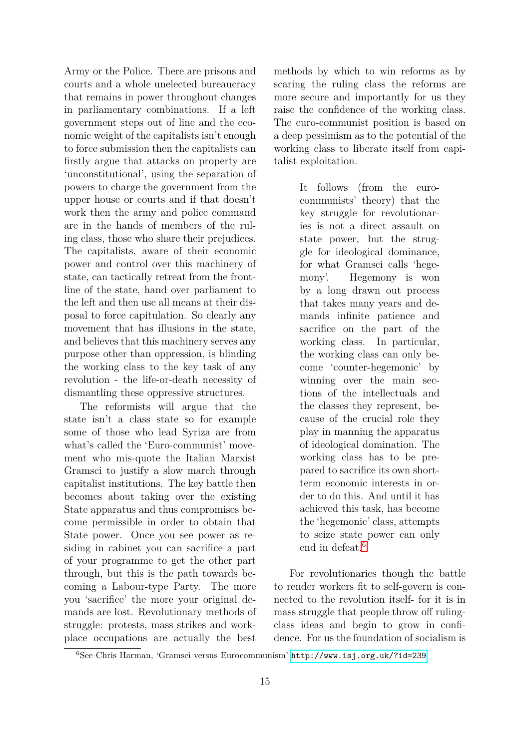Army or the Police. There are prisons and courts and a whole unelected bureaucracy that remains in power throughout changes in parliamentary combinations. If a left government steps out of line and the economic weight of the capitalists isn't enough to force submission then the capitalists can firstly argue that attacks on property are 'unconstitutional', using the separation of powers to charge the government from the upper house or courts and if that doesn't work then the army and police command are in the hands of members of the ruling class, those who share their prejudices. The capitalists, aware of their economic power and control over this machinery of state, can tactically retreat from the frontline of the state, hand over parliament to the left and then use all means at their disposal to force capitulation. So clearly any movement that has illusions in the state, and believes that this machinery serves any purpose other than oppression, is blinding the working class to the key task of any revolution - the life-or-death necessity of dismantling these oppressive structures.

The reformists will argue that the state isn't a class state so for example some of those who lead Syriza are from what's called the 'Euro-communist' movement who mis-quote the Italian Marxist Gramsci to justify a slow march through capitalist institutions. The key battle then becomes about taking over the existing State apparatus and thus compromises become permissible in order to obtain that State power. Once you see power as residing in cabinet you can sacrifice a part of your programme to get the other part through, but this is the path towards becoming a Labour-type Party. The more you 'sacrifice' the more your original demands are lost. Revolutionary methods of struggle: protests, mass strikes and workplace occupations are actually the best methods by which to win reforms as by scaring the ruling class the reforms are more secure and importantly for us they raise the confidence of the working class. The euro-communist position is based on a deep pessimism as to the potential of the working class to liberate itself from capitalist exploitation.

> It follows (from the eurocommunists' theory) that the key struggle for revolutionaries is not a direct assault on state power, but the struggle for ideological dominance, for what Gramsci calls 'hegemony'. Hegemony is won by a long drawn out process that takes many years and demands infinite patience and sacrifice on the part of the working class. In particular, the working class can only become 'counter-hegemonic' by winning over the main sections of the intellectuals and the classes they represent, because of the crucial role they play in manning the apparatus of ideological domination. The working class has to be prepared to sacrifice its own shortterm economic interests in order to do this. And until it has achieved this task, has become the 'hegemonic' class, attempts to seize state power can only end in defeat.<sup>[6](#page-11-0)</sup>

For revolutionaries though the battle to render workers fit to self-govern is connected to the revolution itself- for it is in mass struggle that people throw off rulingclass ideas and begin to grow in confidence. For us the foundation of socialism is

<span id="page-11-0"></span><sup>6</sup>See Chris Harman, 'Gramsci versus Eurocommunism' <http://www.isj.org.uk/?id=239>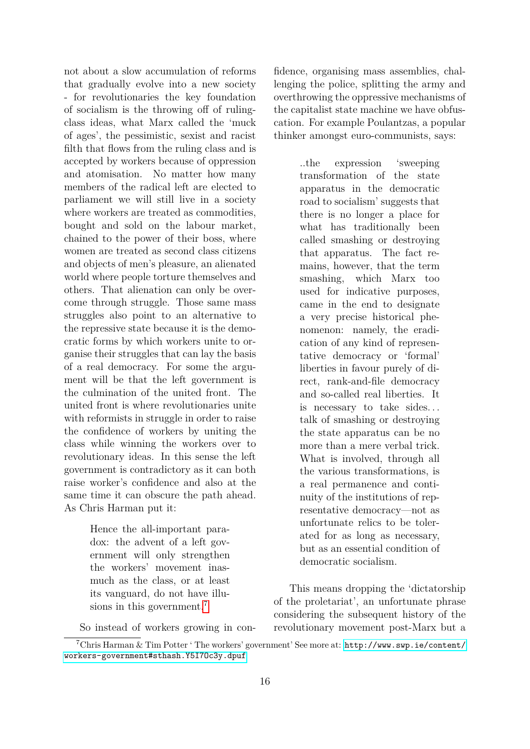not about a slow accumulation of reforms that gradually evolve into a new society - for revolutionaries the key foundation of socialism is the throwing off of rulingclass ideas, what Marx called the 'muck of ages', the pessimistic, sexist and racist filth that flows from the ruling class and is accepted by workers because of oppression and atomisation. No matter how many members of the radical left are elected to parliament we will still live in a society where workers are treated as commodities, bought and sold on the labour market, chained to the power of their boss, where women are treated as second class citizens and objects of men's pleasure, an alienated world where people torture themselves and others. That alienation can only be overcome through struggle. Those same mass struggles also point to an alternative to the repressive state because it is the democratic forms by which workers unite to organise their struggles that can lay the basis of a real democracy. For some the argument will be that the left government is the culmination of the united front. The united front is where revolutionaries unite with reformists in struggle in order to raise the confidence of workers by uniting the class while winning the workers over to revolutionary ideas. In this sense the left government is contradictory as it can both raise worker's confidence and also at the same time it can obscure the path ahead. As Chris Harman put it:

> Hence the all-important paradox: the advent of a left government will only strengthen the workers' movement inasmuch as the class, or at least its vanguard, do not have illu-sions in this government.<sup>[7](#page-12-0)</sup>

fidence, organising mass assemblies, challenging the police, splitting the army and overthrowing the oppressive mechanisms of the capitalist state machine we have obfuscation. For example Poulantzas, a popular thinker amongst euro-communists, says:

> ..the expression 'sweeping transformation of the state apparatus in the democratic road to socialism' suggests that there is no longer a place for what has traditionally been called smashing or destroying that apparatus. The fact remains, however, that the term smashing, which Marx too used for indicative purposes, came in the end to designate a very precise historical phenomenon: namely, the eradication of any kind of representative democracy or 'formal' liberties in favour purely of direct, rank-and-file democracy and so-called real liberties. It is necessary to take sides. . . talk of smashing or destroying the state apparatus can be no more than a mere verbal trick. What is involved, through all the various transformations, is a real permanence and continuity of the institutions of representative democracy—not as unfortunate relics to be tolerated for as long as necessary, but as an essential condition of democratic socialism.

This means dropping the 'dictatorship of the proletariat', an unfortunate phrase considering the subsequent history of the revolutionary movement post-Marx but a

<span id="page-12-0"></span>So instead of workers growing in con-

<sup>7</sup>Chris Harman & Tim Potter ' The workers' government' See more at: [http://www.swp.ie/content/](http://www.swp.ie/content/workers-government#sthash.Y5I7Oc3y.dpuf) [workers-government#sthash.Y5I7Oc3y.dpuf](http://www.swp.ie/content/workers-government#sthash.Y5I7Oc3y.dpuf)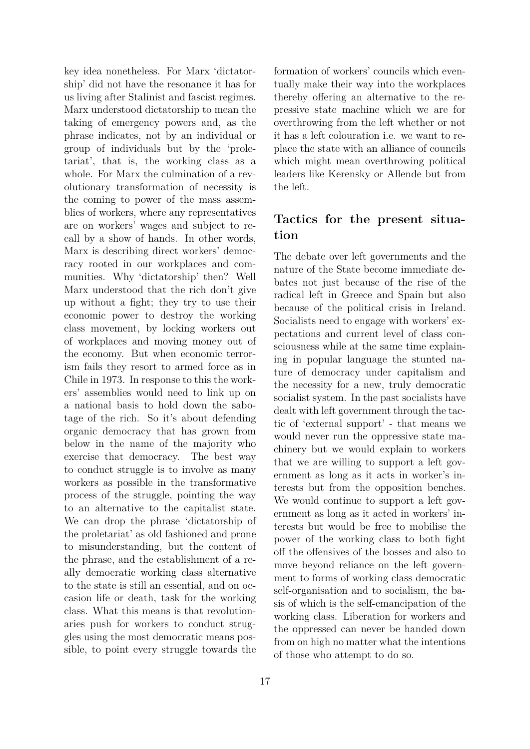key idea nonetheless. For Marx 'dictatorship' did not have the resonance it has for us living after Stalinist and fascist regimes. Marx understood dictatorship to mean the taking of emergency powers and, as the phrase indicates, not by an individual or group of individuals but by the 'proletariat', that is, the working class as a whole. For Marx the culmination of a revolutionary transformation of necessity is the coming to power of the mass assemblies of workers, where any representatives are on workers' wages and subject to recall by a show of hands. In other words, Marx is describing direct workers' democracy rooted in our workplaces and communities. Why 'dictatorship' then? Well Marx understood that the rich don't give up without a fight; they try to use their economic power to destroy the working class movement, by locking workers out of workplaces and moving money out of the economy. But when economic terrorism fails they resort to armed force as in Chile in 1973. In response to this the workers' assemblies would need to link up on a national basis to hold down the sabotage of the rich. So it's about defending organic democracy that has grown from below in the name of the majority who exercise that democracy. The best way to conduct struggle is to involve as many workers as possible in the transformative process of the struggle, pointing the way to an alternative to the capitalist state. We can drop the phrase 'dictatorship of the proletariat' as old fashioned and prone to misunderstanding, but the content of the phrase, and the establishment of a really democratic working class alternative to the state is still an essential, and on occasion life or death, task for the working class. What this means is that revolutionaries push for workers to conduct struggles using the most democratic means possible, to point every struggle towards the formation of workers' councils which eventually make their way into the workplaces thereby offering an alternative to the repressive state machine which we are for overthrowing from the left whether or not it has a left colouration i.e. we want to replace the state with an alliance of councils which might mean overthrowing political leaders like Kerensky or Allende but from the left.

# **Tactics for the present situation**

The debate over left governments and the nature of the State become immediate debates not just because of the rise of the radical left in Greece and Spain but also because of the political crisis in Ireland. Socialists need to engage with workers' expectations and current level of class consciousness while at the same time explaining in popular language the stunted nature of democracy under capitalism and the necessity for a new, truly democratic socialist system. In the past socialists have dealt with left government through the tactic of 'external support' - that means we would never run the oppressive state machinery but we would explain to workers that we are willing to support a left government as long as it acts in worker's interests but from the opposition benches. We would continue to support a left government as long as it acted in workers' interests but would be free to mobilise the power of the working class to both fight off the offensives of the bosses and also to move beyond reliance on the left government to forms of working class democratic self-organisation and to socialism, the basis of which is the self-emancipation of the working class. Liberation for workers and the oppressed can never be handed down from on high no matter what the intentions of those who attempt to do so.